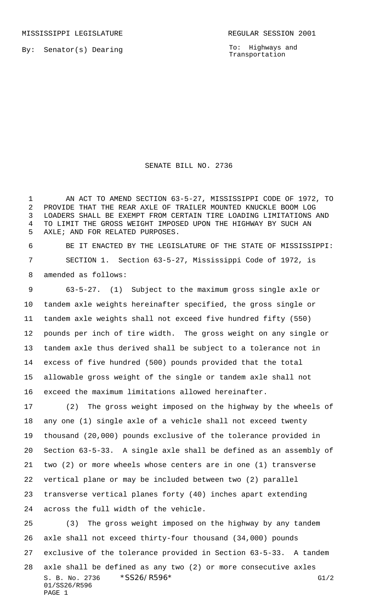MISSISSIPPI LEGISLATURE **REGULAR SESSION 2001** 

By: Senator(s) Dearing

To: Highways and Transportation

SENATE BILL NO. 2736

 AN ACT TO AMEND SECTION 63-5-27, MISSISSIPPI CODE OF 1972, TO PROVIDE THAT THE REAR AXLE OF TRAILER MOUNTED KNUCKLE BOOM LOG LOADERS SHALL BE EXEMPT FROM CERTAIN TIRE LOADING LIMITATIONS AND TO LIMIT THE GROSS WEIGHT IMPOSED UPON THE HIGHWAY BY SUCH AN AXLE; AND FOR RELATED PURPOSES.

 BE IT ENACTED BY THE LEGISLATURE OF THE STATE OF MISSISSIPPI: SECTION 1. Section 63-5-27, Mississippi Code of 1972, is amended as follows:

 63-5-27. (1) Subject to the maximum gross single axle or tandem axle weights hereinafter specified, the gross single or tandem axle weights shall not exceed five hundred fifty (550) pounds per inch of tire width. The gross weight on any single or tandem axle thus derived shall be subject to a tolerance not in excess of five hundred (500) pounds provided that the total allowable gross weight of the single or tandem axle shall not exceed the maximum limitations allowed hereinafter.

 (2) The gross weight imposed on the highway by the wheels of any one (1) single axle of a vehicle shall not exceed twenty thousand (20,000) pounds exclusive of the tolerance provided in Section 63-5-33. A single axle shall be defined as an assembly of two (2) or more wheels whose centers are in one (1) transverse vertical plane or may be included between two (2) parallel transverse vertical planes forty (40) inches apart extending across the full width of the vehicle.

S. B. No. 2736 \* SS26/R596\* G1/2 01/SS26/R596 PAGE 1 (3) The gross weight imposed on the highway by any tandem axle shall not exceed thirty-four thousand (34,000) pounds exclusive of the tolerance provided in Section 63-5-33. A tandem axle shall be defined as any two (2) or more consecutive axles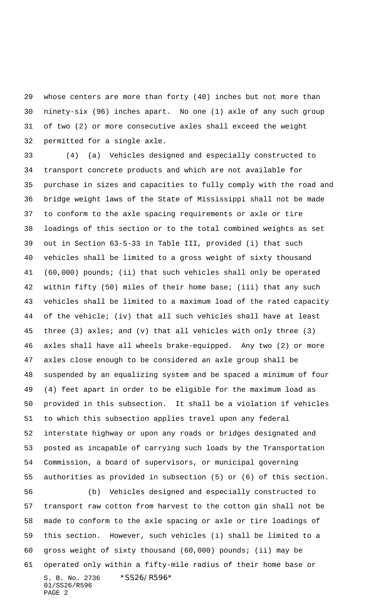whose centers are more than forty (40) inches but not more than ninety-six (96) inches apart. No one (1) axle of any such group of two (2) or more consecutive axles shall exceed the weight permitted for a single axle.

 (4) (a) Vehicles designed and especially constructed to transport concrete products and which are not available for purchase in sizes and capacities to fully comply with the road and bridge weight laws of the State of Mississippi shall not be made to conform to the axle spacing requirements or axle or tire loadings of this section or to the total combined weights as set out in Section 63-5-33 in Table III, provided (i) that such vehicles shall be limited to a gross weight of sixty thousand (60,000) pounds; (ii) that such vehicles shall only be operated within fifty (50) miles of their home base; (iii) that any such vehicles shall be limited to a maximum load of the rated capacity of the vehicle; (iv) that all such vehicles shall have at least three (3) axles; and (v) that all vehicles with only three (3) axles shall have all wheels brake-equipped. Any two (2) or more axles close enough to be considered an axle group shall be suspended by an equalizing system and be spaced a minimum of four (4) feet apart in order to be eligible for the maximum load as provided in this subsection. It shall be a violation if vehicles to which this subsection applies travel upon any federal interstate highway or upon any roads or bridges designated and posted as incapable of carrying such loads by the Transportation Commission, a board of supervisors, or municipal governing authorities as provided in subsection (5) or (6) of this section. (b) Vehicles designed and especially constructed to

S. B. No. 2736 \*SS26/R596\* 01/SS26/R596 PAGE 2 transport raw cotton from harvest to the cotton gin shall not be made to conform to the axle spacing or axle or tire loadings of this section. However, such vehicles (i) shall be limited to a gross weight of sixty thousand (60,000) pounds; (ii) may be operated only within a fifty-mile radius of their home base or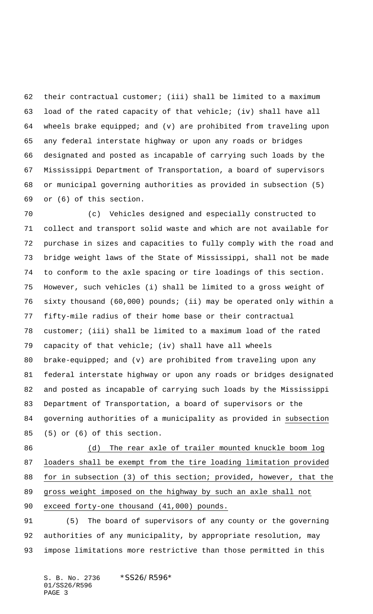their contractual customer; (iii) shall be limited to a maximum load of the rated capacity of that vehicle; (iv) shall have all wheels brake equipped; and (v) are prohibited from traveling upon any federal interstate highway or upon any roads or bridges designated and posted as incapable of carrying such loads by the Mississippi Department of Transportation, a board of supervisors or municipal governing authorities as provided in subsection (5) or (6) of this section.

 (c) Vehicles designed and especially constructed to collect and transport solid waste and which are not available for purchase in sizes and capacities to fully comply with the road and bridge weight laws of the State of Mississippi, shall not be made to conform to the axle spacing or tire loadings of this section. However, such vehicles (i) shall be limited to a gross weight of sixty thousand (60,000) pounds; (ii) may be operated only within a fifty-mile radius of their home base or their contractual customer; (iii) shall be limited to a maximum load of the rated capacity of that vehicle; (iv) shall have all wheels brake-equipped; and (v) are prohibited from traveling upon any federal interstate highway or upon any roads or bridges designated and posted as incapable of carrying such loads by the Mississippi Department of Transportation, a board of supervisors or the governing authorities of a municipality as provided in subsection (5) or (6) of this section.

86 (d) The rear axle of trailer mounted knuckle boom log loaders shall be exempt from the tire loading limitation provided for in subsection (3) of this section; provided, however, that the gross weight imposed on the highway by such an axle shall not exceed forty-one thousand (41,000) pounds.

 (5) The board of supervisors of any county or the governing authorities of any municipality, by appropriate resolution, may impose limitations more restrictive than those permitted in this

S. B. No. 2736 \*SS26/R596\* 01/SS26/R596 PAGE 3